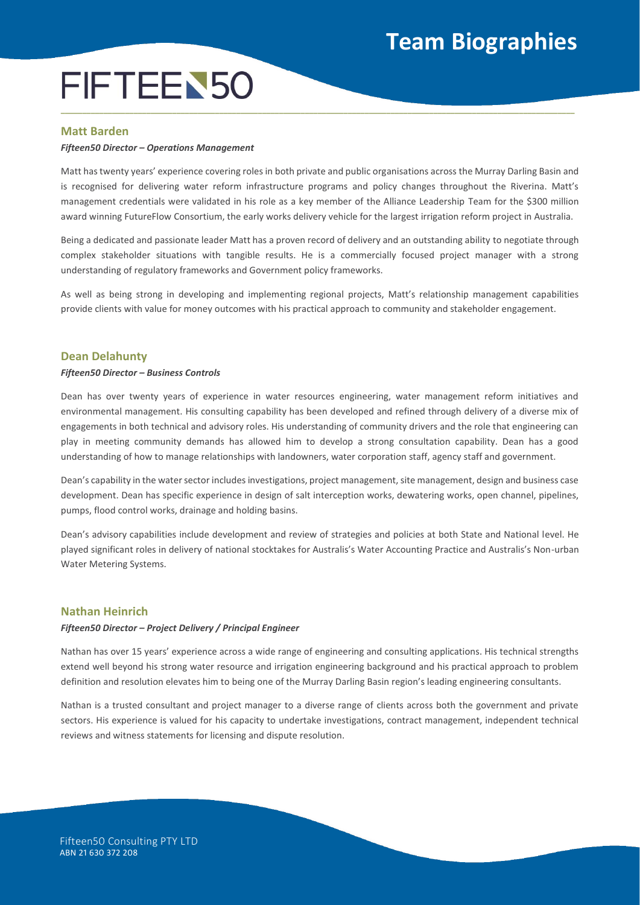# **Team Biographies**

# FIFTEEN50 **\_\_\_\_\_\_\_\_\_\_\_\_\_\_\_\_\_\_\_\_\_\_\_\_\_\_\_\_\_\_\_\_\_\_\_\_\_\_\_\_\_\_\_\_\_\_\_\_\_\_\_\_\_\_\_\_\_\_\_\_\_\_\_\_\_\_\_\_\_\_\_\_\_\_\_\_\_\_\_\_\_\_\_\_\_\_\_\_\_\_\_\_\_\_\_\_\_\_\_\_\_\_\_\_\_\_\_\_\_\_\_\_\_\_\_\_\_\_\_\_**

# **Matt Barden**

### *Fifteen50 Director – Operations Management*

Matt has twenty years' experience covering roles in both private and public organisations across the Murray Darling Basin and is recognised for delivering water reform infrastructure programs and policy changes throughout the Riverina. Matt's management credentials were validated in his role as a key member of the Alliance Leadership Team for the \$300 million award winning FutureFlow Consortium, the early works delivery vehicle for the largest irrigation reform project in Australia.

Being a dedicated and passionate leader Matt has a proven record of delivery and an outstanding ability to negotiate through complex stakeholder situations with tangible results. He is a commercially focused project manager with a strong understanding of regulatory frameworks and Government policy frameworks.

As well as being strong in developing and implementing regional projects, Matt's relationship management capabilities provide clients with value for money outcomes with his practical approach to community and stakeholder engagement.

## **Dean Delahunty**

#### *Fifteen50 Director – Business Controls*

Dean has over twenty years of experience in water resources engineering, water management reform initiatives and environmental management. His consulting capability has been developed and refined through delivery of a diverse mix of engagements in both technical and advisory roles. His understanding of community drivers and the role that engineering can play in meeting community demands has allowed him to develop a strong consultation capability. Dean has a good understanding of how to manage relationships with landowners, water corporation staff, agency staff and government.

Dean's capability in the water sector includes investigations, project management, site management, design and business case development. Dean has specific experience in design of salt interception works, dewatering works, open channel, pipelines, pumps, flood control works, drainage and holding basins.

Dean's advisory capabilities include development and review of strategies and policies at both State and National level. He played significant roles in delivery of national stocktakes for Australis's Water Accounting Practice and Australis's Non-urban Water Metering Systems.

## **Nathan Heinrich**

#### *Fifteen50 Director – Project Delivery / Principal Engineer*

Nathan has over 15 years' experience across a wide range of engineering and consulting applications. His technical strengths extend well beyond his strong water resource and irrigation engineering background and his practical approach to problem definition and resolution elevates him to being one of the Murray Darling Basin region's leading engineering consultants.

Nathan is a trusted consultant and project manager to a diverse range of clients across both the government and private sectors. His experience is valued for his capacity to undertake investigations, contract management, independent technical reviews and witness statements for licensing and dispute resolution.